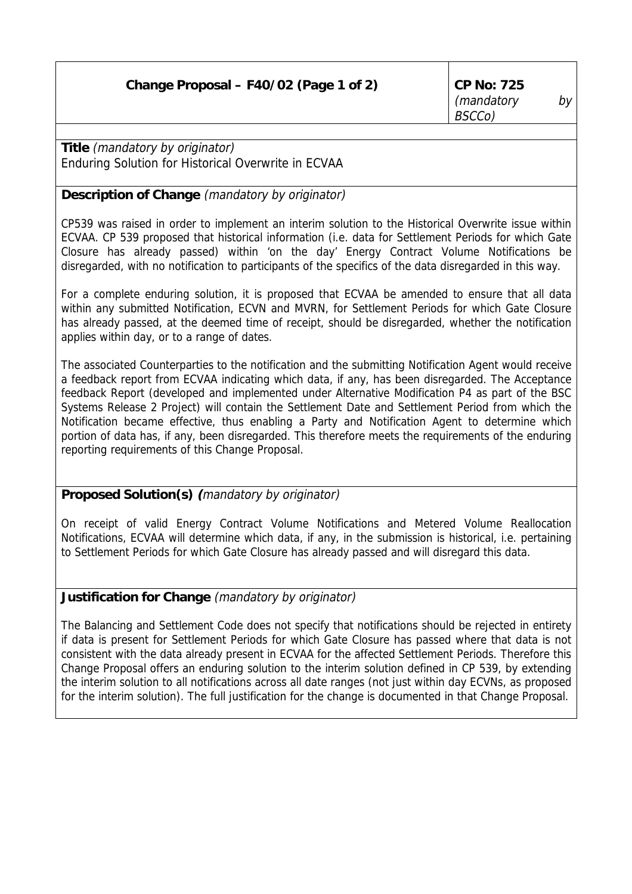**Title** (mandatory by originator) Enduring Solution for Historical Overwrite in ECVAA

## **Description of Change** (mandatory by originator)

CP539 was raised in order to implement an interim solution to the Historical Overwrite issue within ECVAA. CP 539 proposed that historical information (i.e. data for Settlement Periods for which Gate Closure has already passed) within 'on the day' Energy Contract Volume Notifications be disregarded, with no notification to participants of the specifics of the data disregarded in this way.

For a complete enduring solution, it is proposed that ECVAA be amended to ensure that all data within any submitted Notification, ECVN and MVRN, for Settlement Periods for which Gate Closure has already passed, at the deemed time of receipt, should be disregarded, whether the notification applies within day, or to a range of dates.

The associated Counterparties to the notification and the submitting Notification Agent would receive a feedback report from ECVAA indicating which data, if any, has been disregarded. The Acceptance feedback Report (developed and implemented under Alternative Modification P4 as part of the BSC Systems Release 2 Project) will contain the Settlement Date and Settlement Period from which the Notification became effective, thus enabling a Party and Notification Agent to determine which portion of data has, if any, been disregarded. This therefore meets the requirements of the enduring reporting requirements of this Change Proposal.

## **Proposed Solution(s) (**mandatory by originator)

On receipt of valid Energy Contract Volume Notifications and Metered Volume Reallocation Notifications, ECVAA will determine which data, if any, in the submission is historical, i.e. pertaining to Settlement Periods for which Gate Closure has already passed and will disregard this data.

## **Justification for Change** (mandatory by originator)

The Balancing and Settlement Code does not specify that notifications should be rejected in entirety if data is present for Settlement Periods for which Gate Closure has passed where that data is not consistent with the data already present in ECVAA for the affected Settlement Periods. Therefore this Change Proposal offers an enduring solution to the interim solution defined in CP 539, by extending the interim solution to all notifications across all date ranges (not just within day ECVNs, as proposed for the interim solution). The full justification for the change is documented in that Change Proposal.